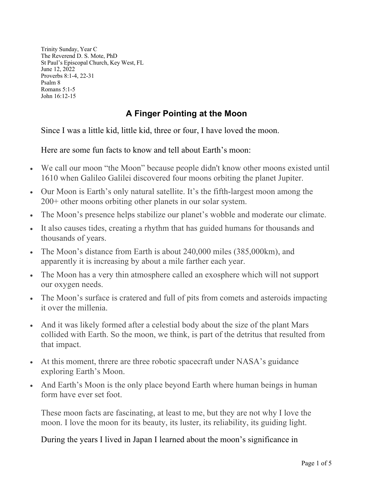Trinity Sunday, Year C The Reverend D. S. Mote, PhD St Paul's Episcopal Church, Key West, FL June 12, 2022 Proverbs 8:1-4, 22-31 Psalm 8 Romans 5:1-5 John 16:12-15

## **A Finger Pointing at the Moon**

Since I was a little kid, little kid, three or four, I have loved the moon.

Here are some fun facts to know and tell about Earth's moon:

- We call our moon "the Moon" because people didn't know other moons existed until 1610 when Galileo Galilei discovered four moons orbiting the planet Jupiter.
- Our Moon is Earth's only natural satellite. It's the fifth-largest moon among the 200+ other moons orbiting other planets in our solar system.
- The Moon's presence helps stabilize our planet's wobble and moderate our climate.
- It also causes tides, creating a rhythm that has guided humans for thousands and thousands of years.
- The Moon's distance from Earth is about 240,000 miles (385,000km), and apparently it is increasing by about a mile farther each year.
- The Moon has a very thin atmosphere called an exosphere which will not support our oxygen needs.
- The Moon's surface is cratered and full of pits from comets and asteroids impacting it over the millenia.
- And it was likely formed after a celestial body about the size of the plant Mars collided with Earth. So the moon, we think, is part of the detritus that resulted from that impact.
- At this moment, threre are three robotic spacecraft under NASA's guidance exploring Earth's Moon.
- And Earth's Moon is the only place beyond Earth where human beings in human form have ever set foot.

These moon facts are fascinating, at least to me, but they are not why I love the moon. I love the moon for its beauty, its luster, its reliability, its guiding light.

During the years I lived in Japan I learned about the moon's significance in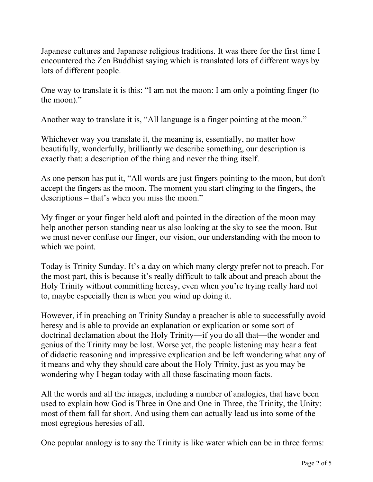Japanese cultures and Japanese religious traditions. It was there for the first time I encountered the Zen Buddhist saying which is translated lots of different ways by lots of different people.

One way to translate it is this: "I am not the moon: I am only a pointing finger (to the moon)."

Another way to translate it is, "All language is a finger pointing at the moon."

Whichever way you translate it, the meaning is, essentially, no matter how beautifully, wonderfully, brilliantly we describe something, our description is exactly that: a description of the thing and never the thing itself.

As one person has put it, "All words are just fingers pointing to the moon, but don't accept the fingers as the moon. The moment you start clinging to the fingers, the descriptions – that's when you miss the moon."

My finger or your finger held aloft and pointed in the direction of the moon may help another person standing near us also looking at the sky to see the moon. But we must never confuse our finger, our vision, our understanding with the moon to which we point.

Today is Trinity Sunday. It's a day on which many clergy prefer not to preach. For the most part, this is because it's really difficult to talk about and preach about the Holy Trinity without committing heresy, even when you're trying really hard not to, maybe especially then is when you wind up doing it.

However, if in preaching on Trinity Sunday a preacher is able to successfully avoid heresy and is able to provide an explanation or explication or some sort of doctrinal declamation about the Holy Trinity—if you do all that—the wonder and genius of the Trinity may be lost. Worse yet, the people listening may hear a feat of didactic reasoning and impressive explication and be left wondering what any of it means and why they should care about the Holy Trinity, just as you may be wondering why I began today with all those fascinating moon facts.

All the words and all the images, including a number of analogies, that have been used to explain how God is Three in One and One in Three, the Trinity, the Unity: most of them fall far short. And using them can actually lead us into some of the most egregious heresies of all.

One popular analogy is to say the Trinity is like water which can be in three forms: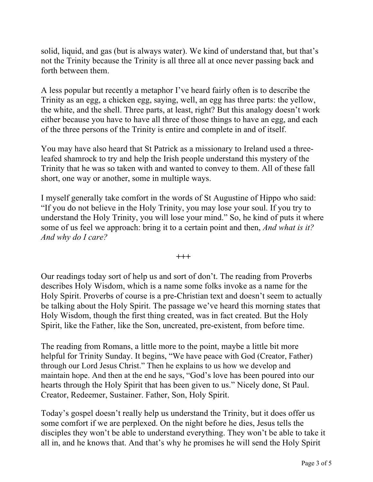solid, liquid, and gas (but is always water). We kind of understand that, but that's not the Trinity because the Trinity is all three all at once never passing back and forth between them.

A less popular but recently a metaphor I've heard fairly often is to describe the Trinity as an egg, a chicken egg, saying, well, an egg has three parts: the yellow, the white, and the shell. Three parts, at least, right? But this analogy doesn't work either because you have to have all three of those things to have an egg, and each of the three persons of the Trinity is entire and complete in and of itself.

You may have also heard that St Patrick as a missionary to Ireland used a threeleafed shamrock to try and help the Irish people understand this mystery of the Trinity that he was so taken with and wanted to convey to them. All of these fall short, one way or another, some in multiple ways.

I myself generally take comfort in the words of St Augustine of Hippo who said: "If you do not believe in the Holy Trinity, you may lose your soul. If you try to understand the Holy Trinity, you will lose your mind." So, he kind of puts it where some of us feel we approach: bring it to a certain point and then, *And what is it? And why do I care?*

**+++**

Our readings today sort of help us and sort of don't. The reading from Proverbs describes Holy Wisdom, which is a name some folks invoke as a name for the Holy Spirit. Proverbs of course is a pre-Christian text and doesn't seem to actually be talking about the Holy Spirit. The passage we've heard this morning states that Holy Wisdom, though the first thing created, was in fact created. But the Holy Spirit, like the Father, like the Son, uncreated, pre-existent, from before time.

The reading from Romans, a little more to the point, maybe a little bit more helpful for Trinity Sunday. It begins, "We have peace with God (Creator, Father) through our Lord Jesus Christ." Then he explains to us how we develop and maintain hope. And then at the end he says, "God's love has been poured into our hearts through the Holy Spirit that has been given to us." Nicely done, St Paul. Creator, Redeemer, Sustainer. Father, Son, Holy Spirit.

Today's gospel doesn't really help us understand the Trinity, but it does offer us some comfort if we are perplexed. On the night before he dies, Jesus tells the disciples they won't be able to understand everything. They won't be able to take it all in, and he knows that. And that's why he promises he will send the Holy Spirit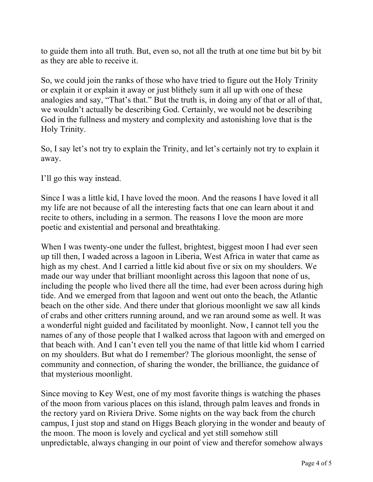to guide them into all truth. But, even so, not all the truth at one time but bit by bit as they are able to receive it.

So, we could join the ranks of those who have tried to figure out the Holy Trinity or explain it or explain it away or just blithely sum it all up with one of these analogies and say, "That's that." But the truth is, in doing any of that or all of that, we wouldn't actually be describing God. Certainly, we would not be describing God in the fullness and mystery and complexity and astonishing love that is the Holy Trinity.

So, I say let's not try to explain the Trinity, and let's certainly not try to explain it away.

I'll go this way instead.

Since I was a little kid, I have loved the moon. And the reasons I have loved it all my life are not because of all the interesting facts that one can learn about it and recite to others, including in a sermon. The reasons I love the moon are more poetic and existential and personal and breathtaking.

When I was twenty-one under the fullest, brightest, biggest moon I had ever seen up till then, I waded across a lagoon in Liberia, West Africa in water that came as high as my chest. And I carried a little kid about five or six on my shoulders. We made our way under that brilliant moonlight across this lagoon that none of us, including the people who lived there all the time, had ever been across during high tide. And we emerged from that lagoon and went out onto the beach, the Atlantic beach on the other side. And there under that glorious moonlight we saw all kinds of crabs and other critters running around, and we ran around some as well. It was a wonderful night guided and facilitated by moonlight. Now, I cannot tell you the names of any of those people that I walked across that lagoon with and emerged on that beach with. And I can't even tell you the name of that little kid whom I carried on my shoulders. But what do I remember? The glorious moonlight, the sense of community and connection, of sharing the wonder, the brilliance, the guidance of that mysterious moonlight.

Since moving to Key West, one of my most favorite things is watching the phases of the moon from various places on this island, through palm leaves and fronds in the rectory yard on Riviera Drive. Some nights on the way back from the church campus, I just stop and stand on Higgs Beach glorying in the wonder and beauty of the moon. The moon is lovely and cyclical and yet still somehow still unpredictable, always changing in our point of view and therefor somehow always